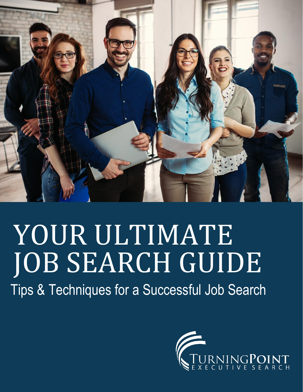

# YOUR ULTIMATE JOB SEARCH GUIDE

Tips & Techniques for a Successful Job Search

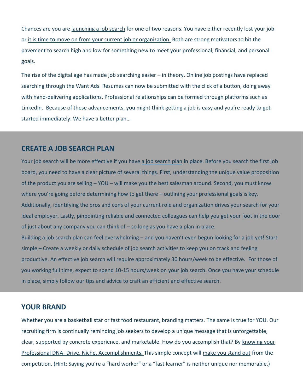Chances are you are [launching a job search](http://turningpointexecsearch.com/2017/11/14/employed-job-search-dos-donts/) for one of two reasons. You have either recently lost your job or [it is time to move on from your current job or organization.](http://turningpointexecsearch.com/2016/01/12/top-game-time-start-job/) Both are strong motivators to hit the pavement to search high and low for something new to meet your professional, financial, and personal goals.

The rise of the digital age has made job searching easier – in theory. Online job postings have replaced searching through the Want Ads. Resumes can now be submitted with the click of a button, doing away with hand-delivering applications. Professional relationships can be formed through platforms such as LinkedIn. Because of these advancements, you might think getting a job is easy and you're ready to get started immediately. We have a better plan…

## **CREATE A JOB SEARCH PLAN**

Your job search will be more effective if you have [a job search plan](http://turningpointexecsearch.com/2017/05/23/fine-tune-your-job-search-to-land-the-job-you-want/) in place. Before you search the first job board, you need to have a clear picture of several things. First, understanding the unique value proposition of the product you are selling – YOU – will make you the best salesman around. Second, you must know where you're going before determining how to get there – outlining your professional goals is key. Additionally, identifying the pros and cons of your current role and organization drives your search for your ideal employer. Lastly, pinpointing reliable and connected colleagues can help you get your foot in the door of just about any company you can think of – so long as you have a plan in place. Building a job search plan can feel overwhelming – and you haven't even begun looking for a job yet! Start simple – Create a weekly or daily schedule of job search activities to keep you on track and feeling productive. An effective job search will require approximately 30 hours/week to be effective. For those of you working full time, expect to spend 10-15 hours/week on your job search. Once you have your schedule in place, simply follow our tips and advice to craft an efficient and effective search.

## **YOUR BRAND**

Whether you are a basketball star or fast food restaurant, branding matters. The same is true for YOU. Our recruiting firm is continually reminding job seekers to develop a unique message that is unforgettable, clear, supported by concrete experience, and marketable. How do you accomplish that? By [knowing your](http://turningpointexecsearch.com/2018/03/16/career-development-professional-dna/)  Professional DNA- [Drive. Niche. Accomplishments.](http://turningpointexecsearch.com/2018/03/16/career-development-professional-dna/) This simple concept will [make you stand out](http://turningpointexecsearch.com/2016/10/04/ask-the-recruiters-how-can-i-stand-out-in-my-job-search/) from the competition. (Hint: Saying you're a "hard worker" or a "fast learner" is neither unique nor memorable.)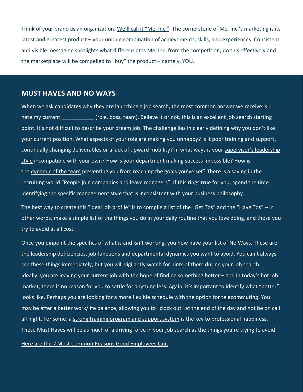Think of your brand as an organization. [We'll call it "Me, Inc.".](http://turningpointexecsearch.com/2018/03/16/career-management-advancement/) The cornerstone of Me, Inc.'s marketing is its latest and greatest product – your unique combination of achievements, skills, and experiences. Consistent and visible messaging spotlights what differentiates Me, Inc. from the competition; do this effectively and the marketplace will be compelled to "buy" the product – namely, YOU.

# **MUST HAVES AND NO WAYS**

When we ask candidates why they are launching a job search, the most common answer we receive is: I hate my current (role, boss, team). Believe it or not, this is an excellent job search starting point. It's not difficult to describe your dream job. The challenge lies in clearly defining why you don't like your current position. What aspects of your role are making you unhappy? Is it poor training and support, continually changing deliverables or a lack of upward mobility? In what ways is your [supervisor's leadership](http://turningpointexecsearch.com/2017/04/11/are-you-a-boss-or-a-bully/)  [style](http://turningpointexecsearch.com/2017/04/11/are-you-a-boss-or-a-bully/) incompatible with your own? How is your department making success impossible? How is the [dynamic of the team](http://turningpointexecsearch.com/2016/03/01/clowns-work-office/) preventing you from reaching the goals you've set? There is a saying in the recruiting world "People join companies and leave managers". If this rings true for you, spend the time identifying the specific management style that is inconsistent with your business philosophy.

The best way to create this "ideal job profile" is to compile a list of the "Get Tos" and the "Have Tos" – in other words, make a simple list of the things you do in your daily routine that you love doing, and those you try to avoid at all cost.

Once you pinpoint the specifics of what is and isn't working, you now have your list of No Ways. These are the leadership deficiencies, job functions and departmental dynamics you want to avoid. You can't always see these things immediately, but you will vigilantly watch for hints of them during your job search. Ideally, you are leaving your current job with the hope of finding something better – and in today's hot job market, there is no reason for you to settle for anything less. Again, it's important to identify what "better" looks like. Perhaps you are looking for a more flexible schedule with the option for [telecommuting.](http://turningpointexecsearch.com/2017/10/31/good-bad-answers-telecommuting/) You may be after a **[better work/life balance](http://turningpointexecsearch.com/2016/08/25/can-you-sign-off-if-your-boss-is-always-on/)**, allowing you to "clock out" at the end of the day and not be on call all night. For some, a [strong training program and support system](http://turningpointexecsearch.com/2017/03/21/youre-the-reason-your-new-hires-feel-trapped/) is the key to professional happiness. These Must Haves will be as much of a driving force in your job search as the things you're trying to avoid.

## [Here are the 7 Most Common Reasons Good Employees Quit](http://turningpointexecsearch.com/2017/08/15/why-good-employees-quit/)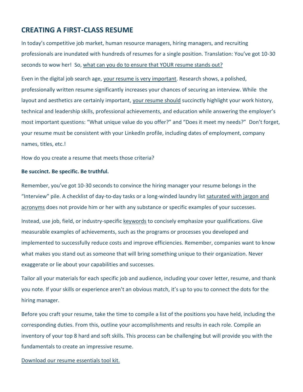# **CREATING A FIRST-CLASS RESUME**

In today's competitive job market, human resource managers, hiring managers, and recruiting professionals are inundated with hundreds of resumes for a single position. Translation: You've got 10-30 seconds to wow her! So, [what can you do to ensure that YOUR resume stands out?](http://turningpointexecsearch.com/2017/09/21/the-resume-that-will-get-you-hired/)

Even in the digital job search age, [your resume is very important.](http://turningpointexecsearch.com/2018/03/07/are-resumes-still-relevant/) Research shows, a polished, professionally written resume significantly increases your chances of securing an interview. While the layout and aesthetics are certainly important, [your resume should](http://turningpointexecsearch.com/2017/06/06/not-your-fathers-resume-2017-resume-trends/) succinctly highlight your work history, technical and leadership skills, professional achievements, and education while answering the employer's most important questions: "What unique value do you offer?" and "Does it meet my needs?" Don't forget, your resume must be consistent with your LinkedIn profile, including dates of employment, company names, titles, etc.!

How do you create a resume that meets those criteria?

#### **Be succinct. Be specific. Be truthful.**

Remember, you've got 10-30 seconds to convince the hiring manager your resume belongs in the "Interview" pile. A checklist of day-to-day tasks or a long-winded laundry list [saturated with jargon and](http://turningpointexecsearch.com/2016/01/26/recruiter-youre-full-st/)  [acronyms](http://turningpointexecsearch.com/2016/01/26/recruiter-youre-full-st/) does not provide him or her with any substance or specific examples of your successes.

Instead, use job, field, or industry-specific [keywords](http://turningpointexecsearch.com/turningpointexecsearch.com/html/wp-content/uploads/2018/03/keywords-for-linkedin-and-resumes.pdf) to concisely emphasize your qualifications. Give measurable examples of achievements, such as the programs or processes you developed and implemented to successfully reduce costs and improve efficiencies. Remember, companies want to know what makes you stand out as someone that will bring something unique to their organization. Never exaggerate or lie about your capabilities and successes.

Tailor all your materials for each specific job and audience, including your cover letter, resume, and thank you note. If your skills or experience aren't an obvious match, it's up to you to connect the dots for the hiring manager.

Before you craft your resume, take the time to compile a list of the positions you have held, including the corresponding duties. From this, outline your accomplishments and results in each role. Compile an inventory of your top 8 hard and soft skills. This process can be challenging but will provide you with the fundamentals to create an impressive resume.

[Download our resume essentials tool kit.](http://turningpointexecsearch.com/wp-content/uploads/2017/02/resume-tool-box.pdf)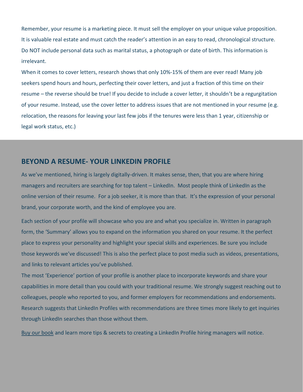Remember, your resume is a marketing piece. It must sell the employer on your unique value proposition. It is valuable real estate and must catch the reader's attention in an easy to read, chronological structure. Do NOT include personal data such as marital status, a photograph or date of birth. This information is irrelevant.

When it comes to cover letters, research shows that only 10%-15% of them are ever read! Many job seekers spend hours and hours, perfecting their cover letters, and just a fraction of this time on their resume – the reverse should be true! If you decide to include a cover letter, it shouldn't be a regurgitation of your resume. Instead, use the cover letter to address issues that are not mentioned in your resume (e.g. relocation, the reasons for leaving your last few jobs if the tenures were less than 1 year, citizenship or legal work status, etc.)

## **BEYOND A RESUME- YOUR LINKEDIN PROFILE**

As we've mentioned, hiring is largely digitally-driven. It makes sense, then, that you are where hiring managers and recruiters are searching for top talent – LinkedIn. Most people think of LinkedIn as the online version of their resume. For a job seeker, it is more than that. It's the expression of your personal brand, your corporate worth, and the kind of employee you are.

Each section of your profile will showcase who you are and what you specialize in. Written in paragraph form, the 'Summary' allows you to expand on the information you shared on your resume. It the perfect place to express your personality and highlight your special skills and experiences. Be sure you include those keywords we've discussed! This is also the perfect place to post media such as videos, presentations, and links to relevant articles you've published.

The most 'Experience' portion of your profile is another place to incorporate keywords and share your capabilities in more detail than you could with your traditional resume. We strongly suggest reaching out to colleagues, people who reported to you, and former employers for recommendations and endorsements. Research suggests that LinkedIn Profiles with recommendations are three times more likely to get inquiries through LinkedIn searches than those without them.

[Buy our book](http://a.co/fmCBmnH) and learn more tips & secrets to creating a LinkedIn Profile hiring managers will notice.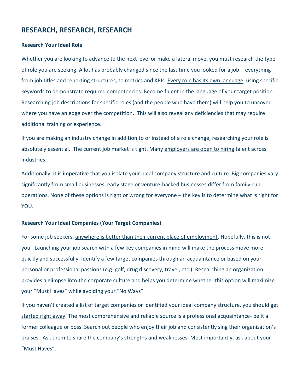# **RESEARCH, RESEARCH, RESEARCH**

#### **Research Your Ideal Role**

Whether you are looking to advance to the next level or make a lateral move, you must research the type of role you are seeking. A lot has probably changed since the last time you looked for a job – everything from job titles and reporting structures, to metrics and KPIs. [Every role has its own language,](http://turningpointexecsearch.com/2017/09/27/what-companies-want-in-a-top-notch-sales-hire/) using specific keywords to demonstrate required competencies. Become fluent in the language of your target position. Researching job descriptions for specific roles (and the people who have them) will help you to uncover where you have an edge over the competition. This will also reveal any deficiencies that may require additional training or experience.

If you are making an industry change in addition to or instead of a role change, researching your role is absolutely essential. The current job market is tight. Many [employers are open to hiring](http://turningpointexecsearch.com/2018/01/17/hiring-80-new-100/) talent across industries.

Additionally, it is imperative that you isolate your ideal company structure and culture. Big companies vary significantly from small businesses; early stage or venture-backed businesses differ from family-run operations. None of these options is right or wrong for everyone – the key is to determine what is right for YOU.

### **Research Your Ideal Companies (Your Target Companies)**

For some job seekers, [anywhere is better than their current place of employment.](http://turningpointexecsearch.com/2017/08/15/why-good-employees-quit/) Hopefully, this is not you. Launching your job search with a few key companies in mind will make the process move more quickly and successfully. Identify a few target companies through an acquaintance or based on your personal or professional passions (e.g. golf, drug discovery, travel, etc.). Researching an organization provides a glimpse into the corporate culture and helps you determine whether this option will maximize your "Must Haves" while avoiding your "No Ways".

If you haven't created a list of target companies or identified your ideal company structure, you should [get](https://premium.linkedin.com/jobsearch/resources/get-connected/how-to-build-a-list-of-target-companies)  [started right away.](https://premium.linkedin.com/jobsearch/resources/get-connected/how-to-build-a-list-of-target-companies) The most comprehensive and reliable source is a professional acquaintance- be it a former colleague or boss. Search out people who enjoy their job and consistently sing their organization's praises. Ask them to share the company's strengths and weaknesses. Most importantly, ask about your "Must Haves".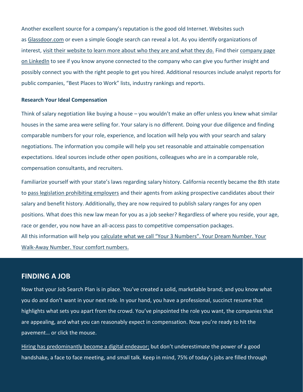Another excellent source for a company's reputation is the good old Internet. Websites such as [Glassdoor.com](https://www.glassdoor.com/index.htm) or even a simple Google search can reveal a lot. As you identify organizations of interest, [visit their website to learn more about who they are and what they do.](http://turningpointexecsearch.com/2017/10/11/employers-reference-checks/) Find their [company page](https://www.linkedin.com/company/turningpoint-executive-search-&-startingpoint-careers/)  [on LinkedIn](https://www.linkedin.com/company/turningpoint-executive-search-&-startingpoint-careers/) to see if you know anyone connected to the company who can give you further insight and possibly connect you with the right people to get you hired. Additional resources include analyst reports for public companies, "Best Places to Work" lists, industry rankings and reports.

#### **Research Your Ideal Compensation**

Think of salary negotiation like buying a house – you wouldn't make an offer unless you knew what similar houses in the same area were selling for. Your salary is no different. Doing your due diligence and finding comparable numbers for your role, experience, and location will help you with your search and salary negotiations. The information you compile will help you set reasonable and attainable compensation expectations. Ideal sources include other open positions, colleagues who are in a comparable role, compensation consultants, and recruiters.

Familiarize yourself with your state's laws regarding salary history. California recently became the 8th state to [pass legislation prohibiting employers](http://turningpointexecsearch.com/2018/02/14/dont-ask-hopefully-theyll-tell-ab-168-impacts-hiring/) and their agents from asking prospective candidates about their salary and benefit history. Additionally, they are now required to publish salary ranges for any open positions. What does this new law mean for you as a job seeker? Regardless of where you reside, your age, race or gender, you now have an all-access pass to competitive compensation packages. All this information will help you [calculate what we call "Your 3 Numbers". Your Dream Number. Your](http://turningpointexecsearch.com/turningpointexecsearch.com/html/wp-content/uploads/2018/03/salary-negotiations-6-steps.pdf)  [Walk-Away Number. Your comfort numbers.](http://turningpointexecsearch.com/turningpointexecsearch.com/html/wp-content/uploads/2018/03/salary-negotiations-6-steps.pdf)

## **FINDING A JOB**

Now that your Job Search Plan is in place. You've created a solid, marketable brand; and you know what you do and don't want in your next role. In your hand, you have a professional, succinct resume that highlights what sets you apart from the crowd. You've pinpointed the role you want, the companies that are appealing, and what you can reasonably expect in compensation. Now you're ready to hit the pavement… or click the mouse.

[Hiring has predominantly become a digital endeavor;](http://turningpointexecsearch.com/2018/03/07/are-resumes-still-relevant/) but don't underestimate the power of a good handshake, a face to face meeting, and small talk. Keep in mind, 75% of today's jobs are filled through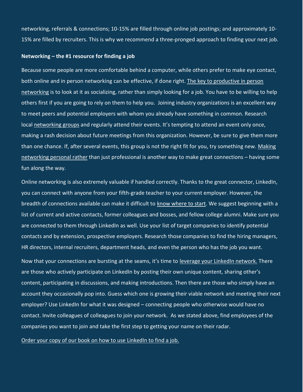networking, referrals & connections; 10-15% are filled through online job postings; and approximately 10- 15% are filled by recruiters. This is why we recommend a three-pronged approach to finding your next job.

#### **Networking – the #1 resource for finding a job**

Because some people are more comfortable behind a computer, while others prefer to make eye contact, both online and in person networking can be effective, if done right. The key to productive in person [networking](http://turningpointexecsearch.com/2015/11/24/5-tips-bringing-social-networking-holiday-season/) is to look at it as socializing, rather than simply looking for a job. You have to be willing to help others first if you are going to rely on them to help you. Joining industry organizations is an excellent way to meet peers and potential employers with whom you already have something in common. Research local [networking groups](http://turningpointexecsearch.com/resources/networking-groups/) and regularly attend their events. It's tempting to attend an event only once, making a rash decision about future meetings from this organization. However, be sure to give them more than one chance. If, after several events, this group is not the right fit for you, try something new. Making [networking personal rather](http://turningpointexecsearch.com/2017/05/30/stop-wasting-your-time-networking/) than just professional is another way to make great connections – having some fun along the way.

Online networking is also extremely valuable if handled correctly. Thanks to the great connector, LinkedIn, you can connect with anyone from your fifth-grade teacher to your current employer. However, the breadth of connections available can make it difficult to [know where to start.](http://a.co/fMNsE1j) We suggest beginning with a list of current and active contacts, former colleagues and bosses, and fellow college alumni. Make sure you are connected to them through LinkedIn as well. Use your list of target companies to identify potential contacts and by extension, prospective employers. Research those companies to find the hiring managers, HR directors, internal recruiters, department heads, and even the person who has the job you want.

Now that your connections are bursting at the seams, it's time to [leverage your LinkedIn network.](https://www.amazon.com/LinkedIn-Hiring-Secrets-Marketing-Leaders-ebook/dp/B01HOY9P9Q/ref=sr_1_1?ie=UTF8&qid=1520524917&sr=8-1&keywords=ken+schmitt) There are those who actively participate on LinkedIn by posting their own unique content, sharing other's content, participating in discussions, and making introductions. Then there are those who simply have an account they occasionally pop into. Guess which one is growing their viable network and meeting their next employer? Use LinkedIn for what it was designed – connecting people who otherwise would have no contact. Invite colleagues of colleagues to join your network. As we stated above, find employees of the companies you want to join and take the first step to getting your name on their radar.

#### [Order your copy of our book on how to use LinkedIn to find a job.](http://a.co/fMNsE1j)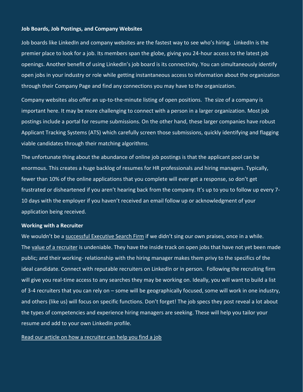#### **Job Boards, Job Postings, and Company Websites**

Job boards like LinkedIn and company websites are the fastest way to see who's hiring. LinkedIn is the premier place to look for a job. Its members span the globe, giving you 24-hour access to the latest job openings. Another benefit of using LinkedIn's job board is its connectivity. You can simultaneously identify open jobs in your industry or role while getting instantaneous access to information about the organization through their Company Page and find any connections you may have to the organization.

Company websites also offer an up-to-the-minute listing of open positions. The size of a company is important here. It may be more challenging to connect with a person in a larger organization. Most job postings include a portal for resume submissions. On the other hand, these larger companies have robust Applicant Tracking Systems (ATS) which carefully screen those submissions, quickly identifying and flagging viable candidates through their matching algorithms.

The unfortunate thing about the abundance of online job postings is that the applicant pool can be enormous. This creates a huge backlog of resumes for HR professionals and hiring managers. Typically, fewer than 10% of the online applications that you complete will ever get a response, so don't get frustrated or disheartened if you aren't hearing back from the company. It's up to you to follow up every 7- 10 days with the employer if you haven't received an email follow up or acknowledgment of your application being received.

#### **Working with a Recruiter**

We wouldn't be a [successful Executive Search Firm](http://turningpointexecsearch.com/about-us/in-the-news/) if we didn't sing our own praises, once in a while. The [value of a recruiter](http://turningpointexecsearch.com/2017/08/09/recruiters-get-better-hires/) is undeniable. They have the inside track on open jobs that have not yet been made public; and their working- relationship with the hiring manager makes them privy to the specifics of the ideal candidate. Connect with reputable recruiters on LinkedIn or in person. Following the recruiting firm will give you real-time access to any searches they may be working on. Ideally, you will want to build a list of 3-4 recruiters that you can rely on – some will be geographically focused, some will work in one industry, and others (like us) will focus on specific functions. Don't forget! The job specs they post reveal a lot about the types of competencies and experience hiring managers are seeking. These will help you tailor your resume and add to your own LinkedIn profile.

#### [Read our article on how a recruiter can help you find a job](http://turningpointexecsearch.com/2018/01/02/does-my-recruiter-hate-me/)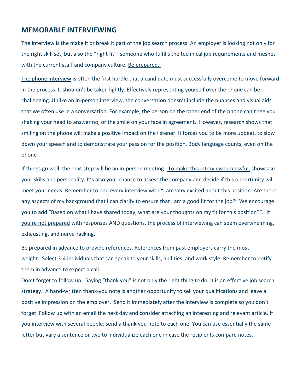## **MEMORABLE INTERVIEWING**

The interview is the make it or break it part of the job search process. An employer is looking not only for the right skill set, but also the "right fit"- someone who fulfills the technical job requirements and meshes with the current staff and company culture. [Be prepared.](http://turningpointexecsearch.com/turningpointexecsearch.com/html/wp-content/uploads/2018/03/mock-interviewing-faq.pdf)

[The phone interview](http://turningpointexecsearch.com/turningpointexecsearch.com/html/wp-content/uploads/2018/03/turningpoint.-effective-phone-interviewing.pdf) is often the first hurdle that a candidate must successfully overcome to move forward in the process. It shouldn't be taken lightly. Effectively representing yourself over the phone can be challenging. Unlike an in-person interview, the conversation doesn't include the nuances and visual aids that we often use in a conversation. For example, the person on the other end of the phone can't see you shaking your head to answer no, or the smile on your face in agreement. However, research shows that smiling on the phone will make a positive impact on the listener. It forces you to be more upbeat, to slow down your speech and to demonstrate your passion for the position. Body language counts, even on the phone!

If things go well, the next step will be an in-person meeting. [To make this interview successful,](http://turningpointexecsearch.com/turningpointexecsearch.com/html/wp-content/uploads/2018/03/turningpoint.-memorable-interviewing-6-bes-handout.pdf) showcase your skills and personality. It's also your chance to assess the company and decide if this opportunity will meet your needs. Remember to end every interview with "I am very excited about this position. Are there any aspects of my background that I can clarify to ensure that I am a good fit for the job?" We encourage you to add "Based on what I have shared today, what are your thoughts on my fit for this position?". If [you're not prepared](http://turningpointexecsearch.com/2016/07/27/i-cant-believe-he-did-that-interview-fails/) with responses AND questions, the process of interviewing can seem overwhelming, exhausting, and nerve-racking.

Be prepared in advance to provide references. References from past employers carry the most weight. Select 3-4 individuals that can speak to your skills, abilities, and work style. Remember to notify them in advance to expect a call.

[Don't forget to follow up](http://turningpointexecsearch.com/2016/07/20/interview-etiquette-4-things-you-cant-forget-if-you-want-to-get-the-job/). Saying "thank you" is not only the right thing to do, it is an effective job search strategy. A hand-written thank-you note is another opportunity to sell your qualifications and leave a positive impression on the employer. Send it immediately after the interview is complete so you don't forget. Follow up with an email the next day and consider attaching an interesting and relevant article. If you interview with several people, send a thank you note to each one. You can use essentially the same letter but vary a sentence or two to individualize each one in case the recipients compare notes.